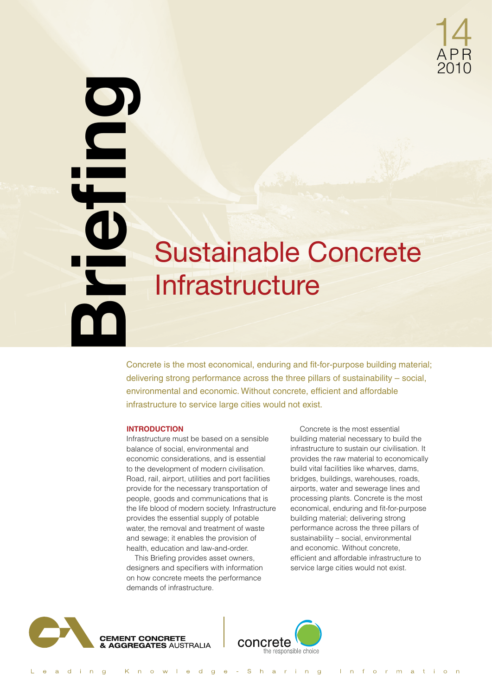

# **Example 18 Concrete is the most economical, enduring and fit-**<br>
Concrete is the most economical, enduring and fit-<br>
environmental and economic. Without concrete, efficient<br>
infrastructure to service large cities would not Sustainable Concrete Infrastructure

Concrete is the most economical, enduring and fit-for-purpose building material; delivering strong performance across the three pillars of sustainability – social, environmental and economic. Without concrete, efficient and affordable

#### **INTRODUCTION**

Infrastructure must be based on a sensible balance of social, environmental and economic considerations, and is essential to the development of modern civilisation. Road, rail, airport, utilities and port facilities provide for the necessary transportation of people, goods and communications that is the life blood of modern society. Infrastructure provides the essential supply of potable water, the removal and treatment of waste and sewage; it enables the provision of health, education and law-and-order.

This Briefing provides asset owners, designers and specifiers with information on how concrete meets the performance demands of infrastructure.

Concrete is the most essential building material necessary to build the infrastructure to sustain our civilisation. It provides the raw material to economically build vital facilities like wharves, dams, bridges, buildings, warehouses, roads, airports, water and sewerage lines and processing plants. Concrete is the most economical, enduring and fit-for-purpose building material; delivering strong performance across the three pillars of sustainability – social, environmental and economic. Without concrete, efficient and affordable infrastructure to service large cities would not exist.



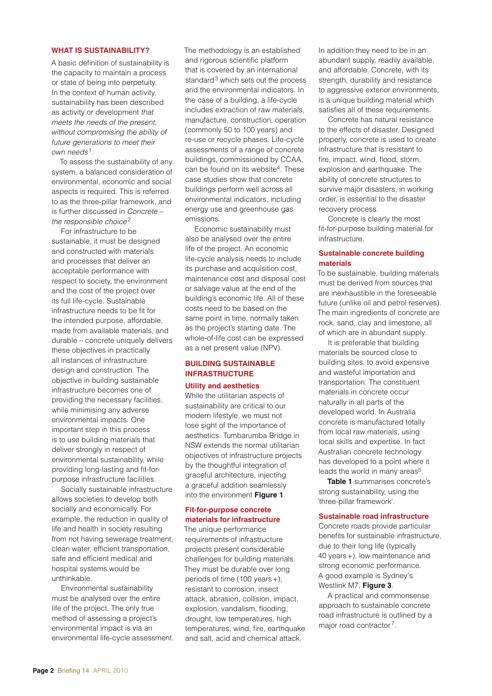#### **What Is Sustainability?**

A basic definition of sustainability is the capacity to maintain a process or state of being into perpetuity. In the context of human activity, sustainability has been described as activity or development *that meets the needs of the present, without compromising the ability of future generations to meet their own needs* <sup>1</sup>*.*

To assess the sustainability of any system, a balanced consideration of environmental, economic and social aspects is required. This is referred to as the three-pillar framework, and is further discussed in *Concrete – the responsible choice*2*.*

For infrastructure to be sustainable, it must be designed and constructed with materials and processes that deliver an acceptable performance with respect to society, the environment and the cost of the project over its full life-cycle. Sustainable infrastructure needs to be fit for the intended purpose, affordable, made from available materials, and durable – concrete uniquely delivers these objectives in practically all instances of infrastructure design and construction. The objective in building sustainable infrastructure becomes one of providing the necessary facilities, while minimising any adverse environmental impacts. One important step in this process is to use building materials that deliver strongly in respect of environmental sustainability, while providing long-lasting and fit-forpurpose infrastructure facilities.

Socially sustainable infrastructure allows societies to develop both socially and economically. For example, the reduction in quality of life and health in society resulting from not having sewerage treatment, clean water, efficient transportation, safe and efficient medical and hospital systems would be unthinkable.

Environmental sustainability must be analysed over the entire life of the project. The only true method of assessing a project's environmental impact is via an environmental life-cycle assessment. The methodology is an established and rigorous scientific platform that is covered by an international standard $3$  which sets out the process and the environmental indicators. In the case of a building, a life-cycle includes extraction of raw materials, manufacture, construction, operation (commonly 50 to 100 years) and re-use or recycle phases. Life-cycle assessments of a range of concrete buildings, commissioned by CCAA, can be found on its website<sup>4</sup>. These case studies show that concrete buildings perform well across all environmental indicators, including energy use and greenhouse gas emissions.

Economic sustainability must also be analysed over the entire life of the project. An economic life-cycle analysis needs to include its purchase and acquisition cost, maintenance cost and disposal cost or salvage value at the end of the building's economic life. All of these costs need to be based on the same point in time, normally taken as the project's starting date. The whole-of-life cost can be expressed as a net present value (NPV).

## **Building Sustainable Infrastructure**

#### **Utility and aesthetics**

While the utilitarian aspects of sustainability are critical to our modern lifestyle, we must not lose sight of the importance of aesthetics. Tumbarumba Bridge in NSW extends the normal utilitarian objectives of infrastructure projects by the thoughtful integration of graceful architecture, injecting a graceful addition seamlessly into the environment **Figure 1**.

# **Fit-for-purpose concrete materials for infrastructure**

The unique performance requirements of infrastructure projects present considerable challenges for building materials. They must be durable over long periods of time (100 years+), resistant to corrosion, insect attack, abrasion, collision, impact, explosion, vandalism, flooding, drought, low temperatures, high temperatures, wind, fire, earthquake and salt, acid and chemical attack.

In addition they need to be in an abundant supply, readily available, and affordable. Concrete, with its strength, durability and resistance to aggressive exterior environments. is a unique building material which satisfies all of these requirements.

Concrete has natural resistance to the effects of disaster. Designed properly, concrete is used to create infrastructure that is resistant to fire, impact, wind, flood, storm, explosion and earthquake. The ability of concrete structures to survive major disasters, in working order, is essential to the disaster recovery process.

Concrete is clearly the most fit-for-purpose building material for infrastructure.

#### **Sustainable concrete building materials**

To be sustainable, building materials must be derived from sources that are inexhaustible in the foreseeable future (unlike oil and petrol reserves). The main ingredients of concrete are rock, sand, clay and limestone, all of which are in abundant supply.

It is preferable that building materials be sourced close to building sites, to avoid expensive and wasteful importation and transportation. The constituent materials in concrete occur naturally in all parts of the developed world. In Australia concrete is manufactured totally from local raw materials, using local skills and expertise. In fact Australian concrete technology has developed to a point where it leads the world in many areas<sup>5</sup>.

**Table 1** summarises concrete's strong sustainability, using the 'three-pillar framework'.

#### **Sustainable road infrastructure**

Concrete roads provide particular benefits for sustainable infrastructure, due to their long life (typically 40 years+), low maintenance and strong economic performance. A good example is Sydney's Westlink M7, **Figure 3**.

A practical and commonsense approach to sustainable concrete road infrastructure is outlined by a major road contractor 7.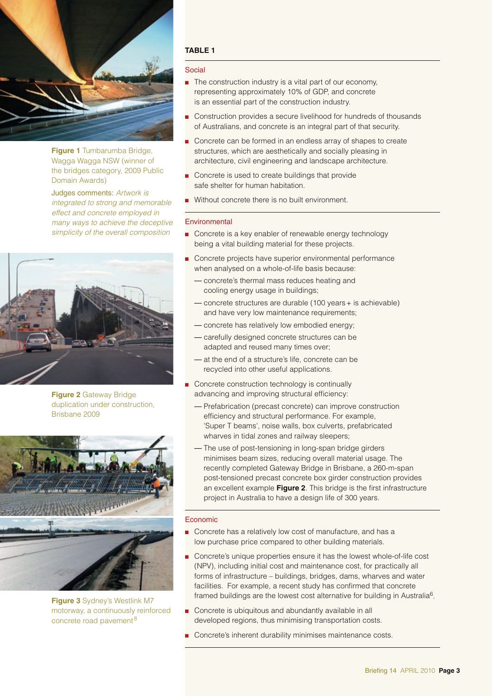

**Figure 1** Tumbarumba Bridge, Wagga Wagga NSW (winner of the bridges category, 2009 Public Domain Awards)

Judges comments: *Artwork is integrated to strong and memorable effect and concrete employed in many ways to achieve the deceptive simplicity of the overall composition*



**Figure 2** Gateway Bridge duplication under construction, Brisbane 2009



**Figure 3** Sydney's Westlink M7 motorway, a continuously reinforced concrete road pavement <sup>8</sup>

# **Table 1**

#### Social

- $\blacksquare$  The construction industry is a vital part of our economy, representing approximately 10% of GDP, and concrete is an essential part of the construction industry.
- Construction provides a secure livelihood for hundreds of thousands of Australians, and concrete is an integral part of that security.
- Concrete can be formed in an endless array of shapes to create structures, which are aesthetically and socially pleasing in architecture, civil engineering and landscape architecture.
- **n** Concrete is used to create buildings that provide safe shelter for human habitation.
- **Nithout concrete there is no built environment.**

#### **Environmental**

- Concrete is a key enabler of renewable energy technology being a vital building material for these projects.
- Concrete projects have superior environmental performance when analysed on a whole-of-life basis because:
	- concrete's thermal mass reduces heating and cooling energy usage in buildings;
	- concrete structures are durable (100 years+ is achievable) and have very low maintenance requirements;
	- concrete has relatively low embodied energy;
	- carefully designed concrete structures can be adapted and reused many times over;
	- at the end of a structure's life, concrete can be recycled into other useful applications.
- Concrete construction technology is continually advancing and improving structural efficiency:
	- Prefabrication (precast concrete) can improve construction efficiency and structural performance. For example, 'Super T beams', noise walls, box culverts, prefabricated wharves in tidal zones and railway sleepers;
	- The use of post-tensioning in long-span bridge girders minimises beam sizes, reducing overall material usage. The recently completed Gateway Bridge in Brisbane, a 260-m-span post-tensioned precast concrete box girder construction provides an excellent example **Figure 2**. This bridge is the first infrastructure project in Australia to have a design life of 300 years.

#### Economic

- Concrete has a relatively low cost of manufacture, and has a low purchase price compared to other building materials.
- **n** Concrete's unique properties ensure it has the lowest whole-of-life cost (NPV), including initial cost and maintenance cost, for practically all forms of infrastructure – buildings, bridges, dams, wharves and water facilities. For example, a recent study has confirmed that concrete framed buildings are the lowest cost alternative for building in Australia<sup>6</sup>.
- Concrete is ubiquitous and abundantly available in all developed regions, thus minimising transportation costs.
- Concrete's inherent durability minimises maintenance costs.